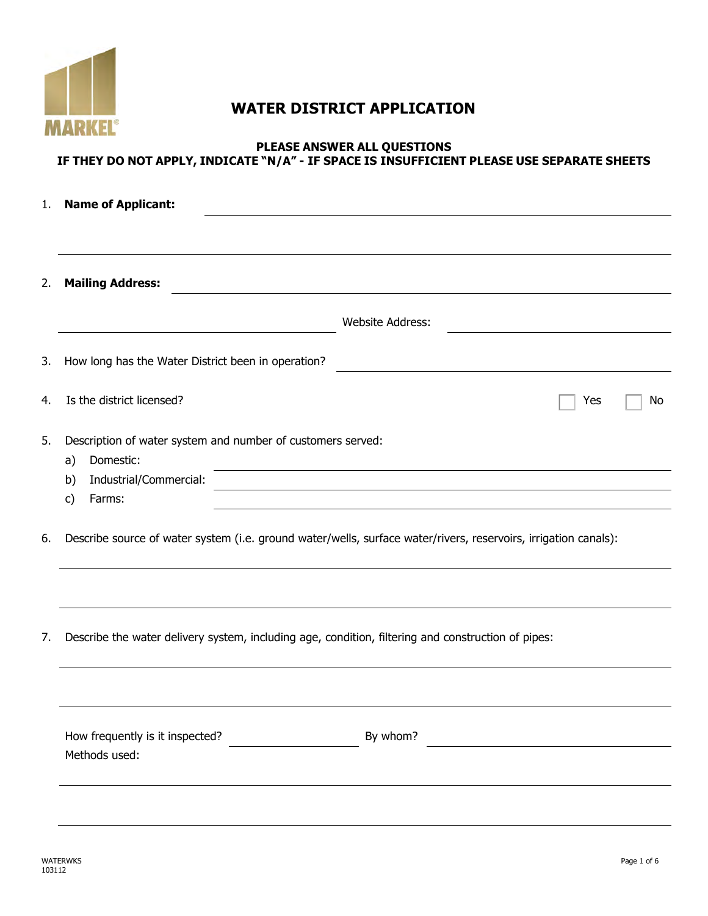

# **WATER DISTRICT APPLICATION**

#### **PLEASE ANSWER ALL QUESTIONS IF THEY DO NOT APPLY, INDICATE "N/A" - IF SPACE IS INSUFFICIENT PLEASE USE SEPARATE SHEETS**

| 1. | <b>Name of Applicant:</b>                                                                          |                                                                                                                       |  |  |  |  |
|----|----------------------------------------------------------------------------------------------------|-----------------------------------------------------------------------------------------------------------------------|--|--|--|--|
|    |                                                                                                    |                                                                                                                       |  |  |  |  |
| 2. | <b>Mailing Address:</b>                                                                            |                                                                                                                       |  |  |  |  |
|    |                                                                                                    | <b>Website Address:</b>                                                                                               |  |  |  |  |
| 3. | How long has the Water District been in operation?                                                 |                                                                                                                       |  |  |  |  |
| 4. | Is the district licensed?                                                                          | Yes<br>No                                                                                                             |  |  |  |  |
| 5. | Description of water system and number of customers served:<br>Domestic:<br>a)                     |                                                                                                                       |  |  |  |  |
|    | Industrial/Commercial:<br>b)                                                                       | <u> 1989 - Johann Barn, mars ann an t-Amhain an t-Amhain ann an t-Amhain an t-Amhain an t-Amhain an t-Amhain ann </u> |  |  |  |  |
|    | Farms:<br>c)                                                                                       |                                                                                                                       |  |  |  |  |
| 6. |                                                                                                    | Describe source of water system (i.e. ground water/wells, surface water/rivers, reservoirs, irrigation canals):       |  |  |  |  |
|    |                                                                                                    |                                                                                                                       |  |  |  |  |
| 7. | Describe the water delivery system, including age, condition, filtering and construction of pipes: |                                                                                                                       |  |  |  |  |
|    |                                                                                                    |                                                                                                                       |  |  |  |  |
|    | How frequently is it inspected?                                                                    | By whom?                                                                                                              |  |  |  |  |
|    | Methods used:                                                                                      |                                                                                                                       |  |  |  |  |
|    |                                                                                                    |                                                                                                                       |  |  |  |  |
|    |                                                                                                    |                                                                                                                       |  |  |  |  |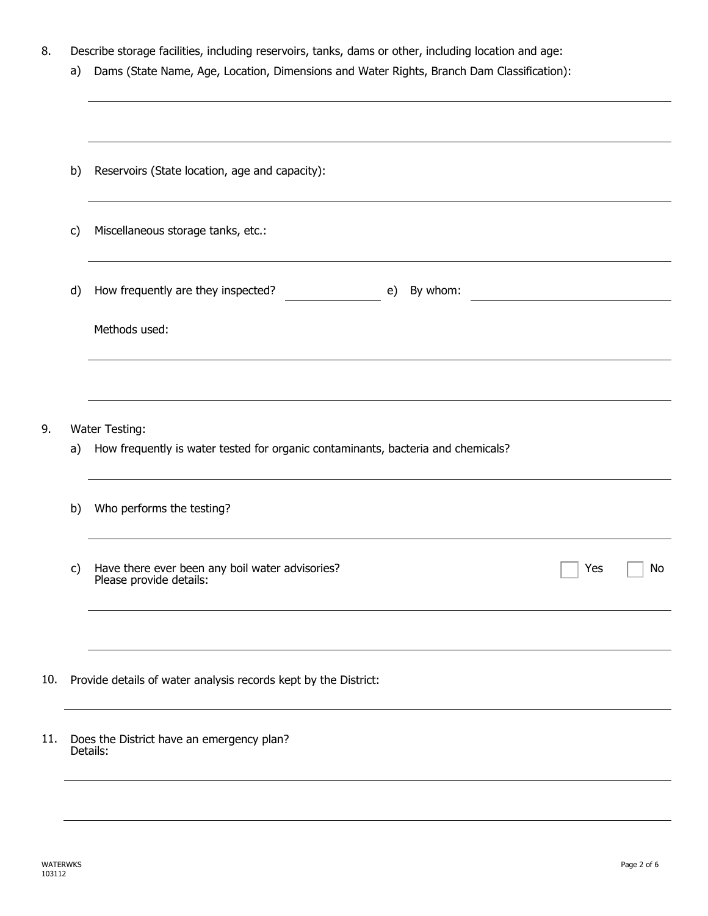- 8. Describe storage facilities, including reservoirs, tanks, dams or other, including location and age:
	- a) Dams (State Name, Age, Location, Dimensions and Water Rights, Branch Dam Classification):

|     | b)           | Reservoirs (State location, age and capacity):                                    |    |  |  |  |
|-----|--------------|-----------------------------------------------------------------------------------|----|--|--|--|
|     | c)           | Miscellaneous storage tanks, etc.:                                                |    |  |  |  |
|     | d)           | How frequently are they inspected?<br>By whom:<br>e)                              |    |  |  |  |
|     |              | Methods used:                                                                     |    |  |  |  |
|     |              |                                                                                   |    |  |  |  |
| 9.  |              | Water Testing:                                                                    |    |  |  |  |
|     | a)           | How frequently is water tested for organic contaminants, bacteria and chemicals?  |    |  |  |  |
|     | b)           | Who performs the testing?                                                         |    |  |  |  |
|     | $\mathsf{C}$ | Have there ever been any boil water advisories?<br>Please provide details:<br>Yes | No |  |  |  |
|     |              |                                                                                   |    |  |  |  |
| 10. |              | Provide details of water analysis records kept by the District:                   |    |  |  |  |
| 11. |              | Does the District have an emergency plan?<br>Details:                             |    |  |  |  |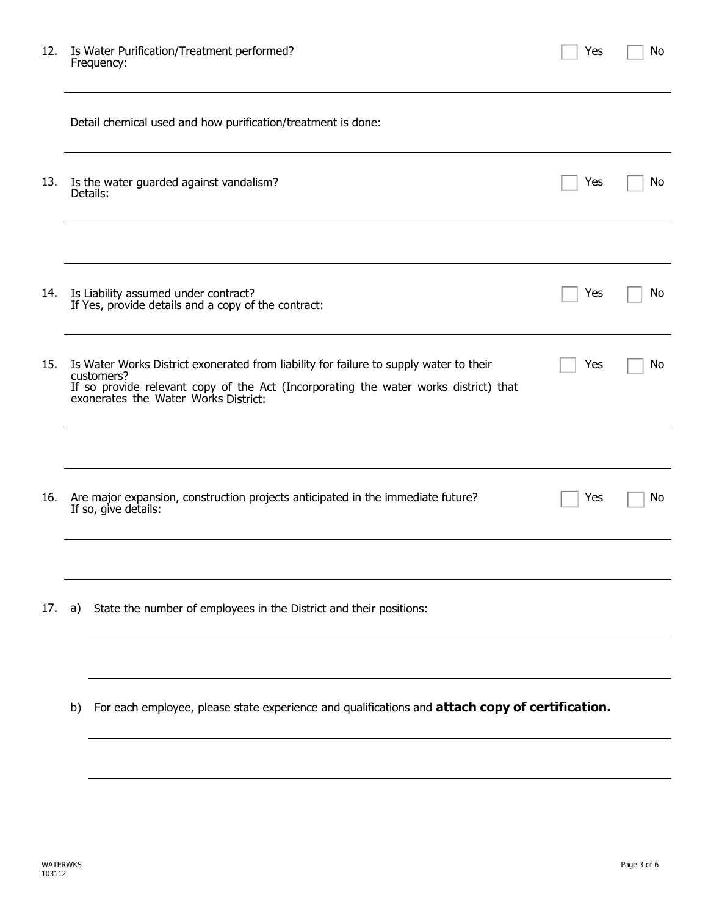| 12. | Is Water Purification/Treatment performed? |
|-----|--------------------------------------------|
|     | Frequency:                                 |

| Yes<br>No |  |
|-----------|--|
|-----------|--|

|     | Detail chemical used and how purification/treatment is done:                                                                                                                                                                         |     |     |  |
|-----|--------------------------------------------------------------------------------------------------------------------------------------------------------------------------------------------------------------------------------------|-----|-----|--|
| 13. | Is the water guarded against vandalism?<br>Details:                                                                                                                                                                                  | Yes | No. |  |
|     |                                                                                                                                                                                                                                      |     |     |  |
| 14. | Is Liability assumed under contract?<br>If Yes, provide details and a copy of the contract:                                                                                                                                          | Yes | Νo  |  |
| 15. | Is Water Works District exonerated from liability for failure to supply water to their<br>customers?<br>If so provide relevant copy of the Act (Incorporating the water works district) that<br>exonerates the Water Works District: | Yes | No  |  |
|     |                                                                                                                                                                                                                                      |     |     |  |
| 16. | Are major expansion, construction projects anticipated in the immediate future?<br>If so, give details:                                                                                                                              | Yes | No. |  |
|     |                                                                                                                                                                                                                                      |     |     |  |
| 17. | State the number of employees in the District and their positions:<br>a)                                                                                                                                                             |     |     |  |
|     |                                                                                                                                                                                                                                      |     |     |  |
|     | For each employee, please state experience and qualifications and attach copy of certification.<br>b)                                                                                                                                |     |     |  |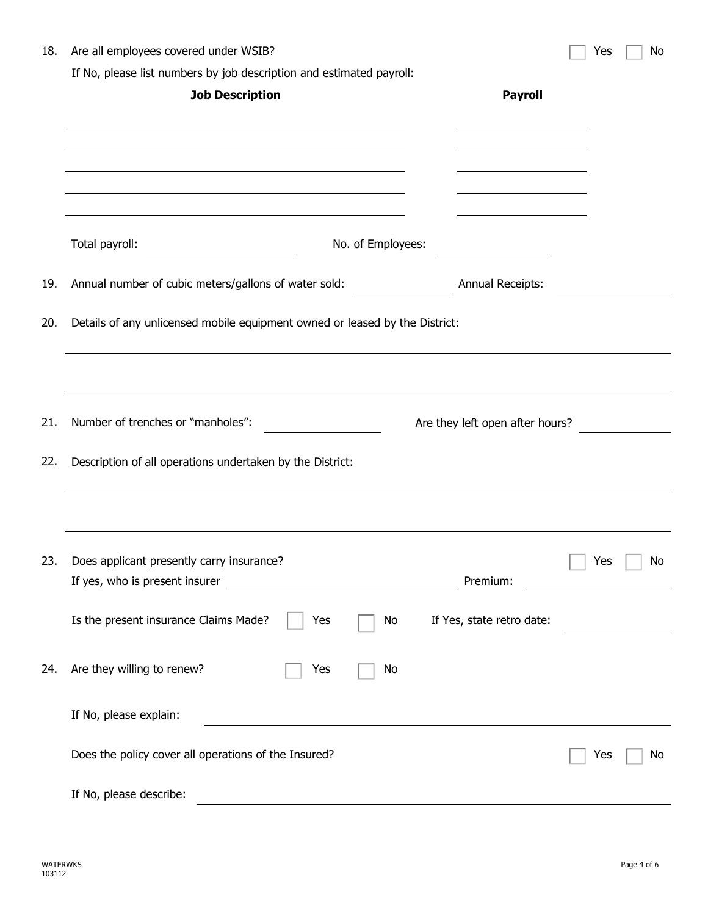| 18. | Are all employees covered under WSIB?                                       |                                         | Yes                          | No        |
|-----|-----------------------------------------------------------------------------|-----------------------------------------|------------------------------|-----------|
|     | If No, please list numbers by job description and estimated payroll:        |                                         |                              |           |
|     | <b>Job Description</b>                                                      | <b>Payroll</b>                          |                              |           |
|     |                                                                             |                                         |                              |           |
|     |                                                                             |                                         |                              |           |
|     |                                                                             |                                         |                              |           |
|     |                                                                             |                                         |                              |           |
|     |                                                                             |                                         |                              |           |
|     | Total payroll:<br>No. of Employees:                                         | <u> 1990 - Johann Barbara, martin e</u> |                              |           |
| 19. | Annual number of cubic meters/gallons of water sold:                        | <b>Annual Receipts:</b>                 |                              |           |
| 20. | Details of any unlicensed mobile equipment owned or leased by the District: |                                         |                              |           |
|     |                                                                             |                                         |                              |           |
| 21. | Number of trenches or "manholes":                                           | Are they left open after hours?         |                              |           |
|     |                                                                             |                                         |                              |           |
| 22. | Description of all operations undertaken by the District:                   |                                         |                              |           |
|     |                                                                             |                                         |                              |           |
|     |                                                                             |                                         |                              |           |
|     |                                                                             |                                         |                              |           |
| 23. | Does applicant presently carry insurance?                                   | Premium:                                | $\overline{\phantom{a}}$ Yes | $\mid$ No |
|     | If yes, who is present insurer                                              |                                         |                              |           |
|     | Is the present insurance Claims Made?<br>Yes<br>No                          | If Yes, state retro date:               |                              |           |
|     |                                                                             |                                         |                              |           |
| 24. | Are they willing to renew?<br>Yes<br>No                                     |                                         |                              |           |
|     |                                                                             |                                         |                              |           |
|     | If No, please explain:                                                      |                                         |                              |           |
|     |                                                                             |                                         |                              |           |
|     | Does the policy cover all operations of the Insured?                        |                                         | Yes                          | <b>No</b> |
|     | If No, please describe:                                                     |                                         |                              |           |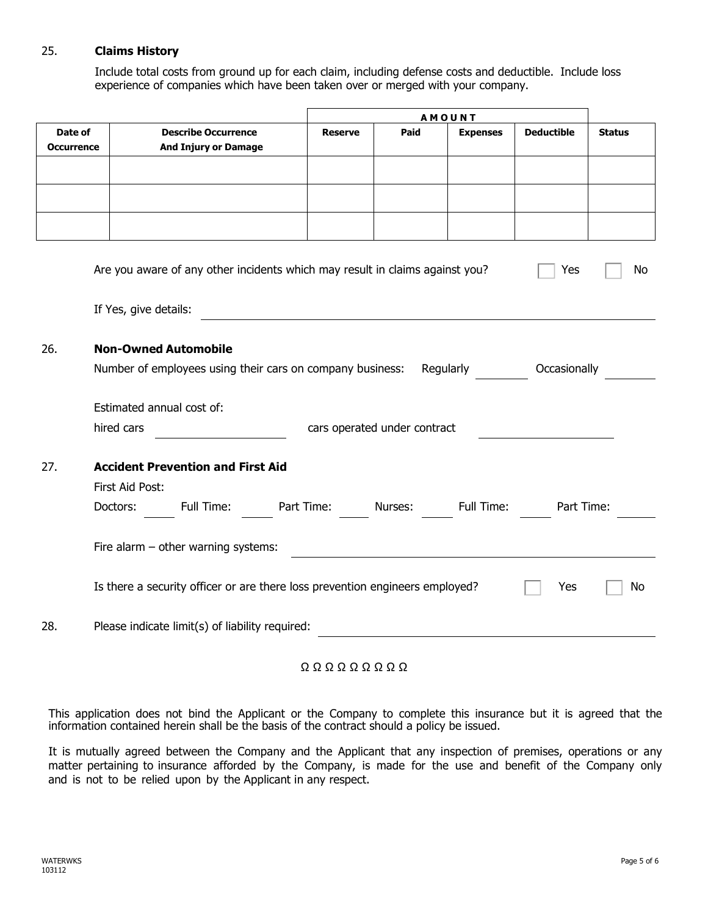#### 25. **Claims History**

Include total costs from ground up for each claim, including defense costs and deductible. Include loss experience of companies which have been taken over or merged with your company.

|                   |                                                                              |                |                              | <b>AMOUNT</b>   |                                                                                                                      |               |
|-------------------|------------------------------------------------------------------------------|----------------|------------------------------|-----------------|----------------------------------------------------------------------------------------------------------------------|---------------|
| Date of           | <b>Describe Occurrence</b>                                                   | <b>Reserve</b> | Paid                         | <b>Expenses</b> | <b>Deductible</b>                                                                                                    | <b>Status</b> |
| <b>Occurrence</b> | <b>And Injury or Damage</b>                                                  |                |                              |                 |                                                                                                                      |               |
|                   |                                                                              |                |                              |                 |                                                                                                                      |               |
|                   |                                                                              |                |                              |                 |                                                                                                                      |               |
|                   |                                                                              |                |                              |                 |                                                                                                                      |               |
|                   |                                                                              |                |                              |                 |                                                                                                                      |               |
|                   |                                                                              |                |                              |                 |                                                                                                                      |               |
|                   |                                                                              |                |                              |                 |                                                                                                                      |               |
|                   | Are you aware of any other incidents which may result in claims against you? |                |                              |                 | Yes                                                                                                                  | No            |
|                   |                                                                              |                |                              |                 |                                                                                                                      |               |
|                   | If Yes, give details:                                                        |                |                              |                 |                                                                                                                      |               |
|                   |                                                                              |                |                              |                 |                                                                                                                      |               |
| 26.               | <b>Non-Owned Automobile</b>                                                  |                |                              |                 |                                                                                                                      |               |
|                   | Number of employees using their cars on company business: Regularly          |                |                              |                 | Occasionally                                                                                                         |               |
|                   |                                                                              |                |                              |                 |                                                                                                                      |               |
|                   | Estimated annual cost of:                                                    |                |                              |                 |                                                                                                                      |               |
|                   | hired cars                                                                   |                | cars operated under contract |                 |                                                                                                                      |               |
|                   |                                                                              |                |                              |                 |                                                                                                                      |               |
| 27.               | <b>Accident Prevention and First Aid</b>                                     |                |                              |                 |                                                                                                                      |               |
|                   | First Aid Post:                                                              |                |                              |                 |                                                                                                                      |               |
|                   | Full Time: Part Time:                                                        |                |                              | Full Time:      |                                                                                                                      |               |
|                   | Doctors:                                                                     |                | Nurses:                      |                 | Part Time:                                                                                                           |               |
|                   |                                                                              |                |                              |                 |                                                                                                                      |               |
|                   | Fire alarm $-$ other warning systems:                                        |                |                              |                 | <u> 1989 - Johann Barbara, marka a shekara tsa 1989 - An tsa 1989 - An tsa 1989 - An tsa 1989 - An tsa 1989 - An</u> |               |
|                   |                                                                              |                |                              |                 |                                                                                                                      |               |
|                   | Is there a security officer or are there loss prevention engineers employed? |                |                              |                 | Yes                                                                                                                  | No            |
|                   |                                                                              |                |                              |                 |                                                                                                                      |               |
| 28.               | Please indicate limit(s) of liability required:                              |                |                              |                 |                                                                                                                      |               |
|                   |                                                                              |                |                              |                 |                                                                                                                      |               |

Ω Ω Ω Ω Ω Ω Ω Ω Ω

This application does not bind the Applicant or the Company to complete this insurance but it is agreed that the information contained herein shall be the basis of the contract should a policy be issued.

It is mutually agreed between the Company and the Applicant that any inspection of premises, operations or any matter pertaining to insurance afforded by the Company, is made for the use and benefit of the Company only and is not to be relied upon by the Applicant in any respect.